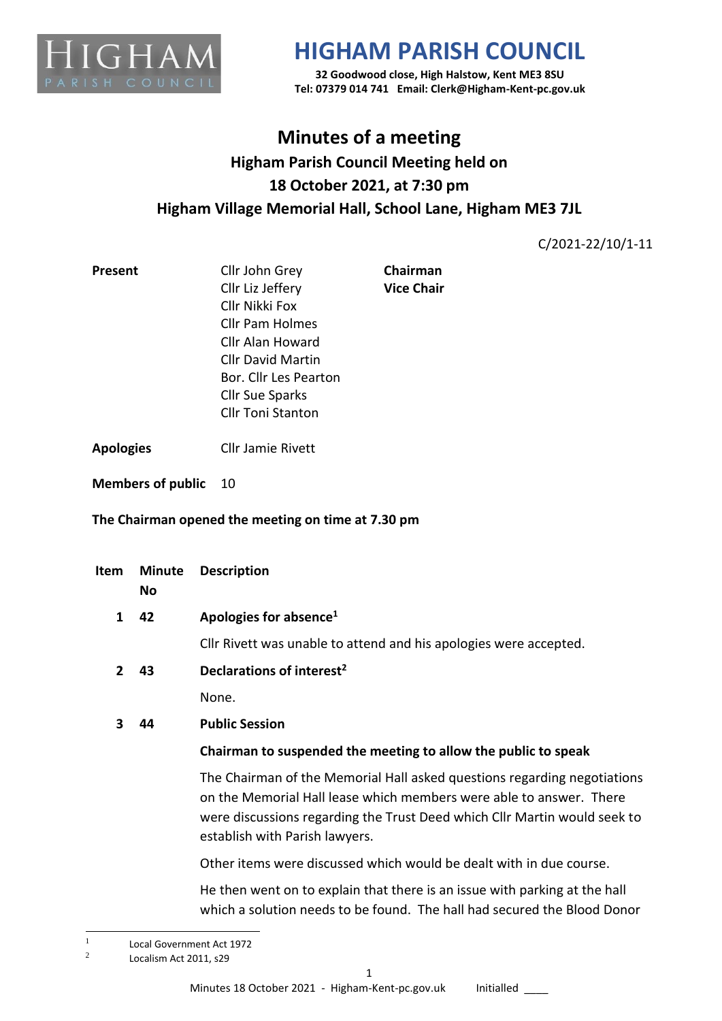

**32 Goodwood close, High Halstow, Kent ME3 8SU Tel: 07379 014 741 Email: Clerk@Higham-Kent-pc.gov.uk**

## **Minutes of a meeting Higham Parish Council Meeting held on 18 October 2021, at 7:30 pm Higham Village Memorial Hall, School Lane, Higham ME3 7JL**

C/2021-22/10/1-11

| <b>Present</b> | Cllr John Grey           | Chairman          |  |
|----------------|--------------------------|-------------------|--|
|                | Cllr Liz Jeffery         | <b>Vice Chair</b> |  |
|                | Cllr Nikki Fox           |                   |  |
|                | <b>Cllr Pam Holmes</b>   |                   |  |
|                | Cllr Alan Howard         |                   |  |
|                | <b>Cllr David Martin</b> |                   |  |
|                | Bor. Cllr Les Pearton    |                   |  |
|                | <b>Cllr Sue Sparks</b>   |                   |  |
|                | <b>Cllr Toni Stanton</b> |                   |  |
|                |                          |                   |  |

**Apologies** Cllr Jamie Rivett

**Members of public** 10

#### **The Chairman opened the meeting on time at 7.30 pm**

| Item         | <b>Minute</b><br>No | <b>Description</b>                                                                                                                                                                                                                                             |
|--------------|---------------------|----------------------------------------------------------------------------------------------------------------------------------------------------------------------------------------------------------------------------------------------------------------|
| 1            | 42                  | Apologies for absence <sup>1</sup>                                                                                                                                                                                                                             |
|              |                     | Cllr Rivett was unable to attend and his apologies were accepted.                                                                                                                                                                                              |
| $\mathbf{2}$ | 43                  | Declarations of interest <sup>2</sup>                                                                                                                                                                                                                          |
|              |                     | None.                                                                                                                                                                                                                                                          |
| 3            | 44                  | <b>Public Session</b>                                                                                                                                                                                                                                          |
|              |                     | Chairman to suspended the meeting to allow the public to speak                                                                                                                                                                                                 |
|              |                     | The Chairman of the Memorial Hall asked questions regarding negotiations<br>on the Memorial Hall lease which members were able to answer. There<br>were discussions regarding the Trust Deed which Cllr Martin would seek to<br>establish with Parish lawyers. |
|              |                     | Other items were discussed which would be dealt with in due course.                                                                                                                                                                                            |
|              |                     | 11 an bhaile an choire ann an dùthch bhaile an t-ais an t-ais an t-thle agust t-ais an t-baile. Bailt                                                                                                                                                          |

He then went on to explain that there is an issue with parking at the hall which a solution needs to be found. The hall had secured the Blood Donor

<sup>1</sup> Local Government Act 1972

<sup>2</sup> Localism Act 2011, s29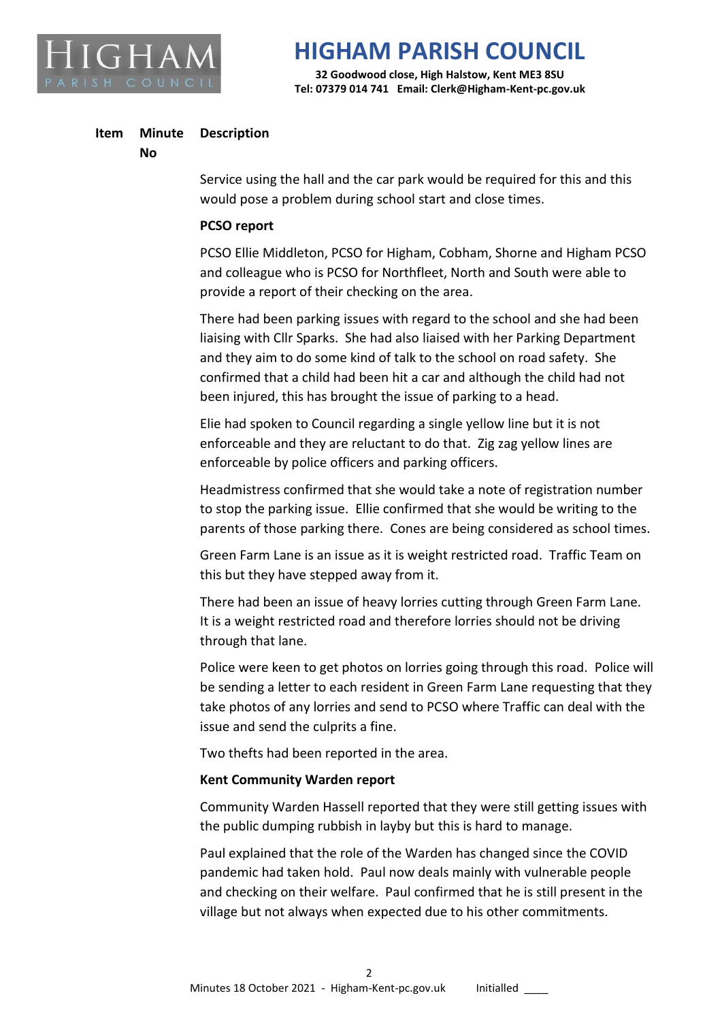

**32 Goodwood close, High Halstow, Kent ME3 8SU Tel: 07379 014 741 Email: Clerk@Higham-Kent-pc.gov.uk**

#### **Item Minute Description**

#### **No**

Service using the hall and the car park would be required for this and this would pose a problem during school start and close times.

#### **PCSO report**

PCSO Ellie Middleton, PCSO for Higham, Cobham, Shorne and Higham PCSO and colleague who is PCSO for Northfleet, North and South were able to provide a report of their checking on the area.

There had been parking issues with regard to the school and she had been liaising with Cllr Sparks. She had also liaised with her Parking Department and they aim to do some kind of talk to the school on road safety. She confirmed that a child had been hit a car and although the child had not been injured, this has brought the issue of parking to a head.

Elie had spoken to Council regarding a single yellow line but it is not enforceable and they are reluctant to do that. Zig zag yellow lines are enforceable by police officers and parking officers.

Headmistress confirmed that she would take a note of registration number to stop the parking issue. Ellie confirmed that she would be writing to the parents of those parking there. Cones are being considered as school times.

Green Farm Lane is an issue as it is weight restricted road. Traffic Team on this but they have stepped away from it.

There had been an issue of heavy lorries cutting through Green Farm Lane. It is a weight restricted road and therefore lorries should not be driving through that lane.

Police were keen to get photos on lorries going through this road. Police will be sending a letter to each resident in Green Farm Lane requesting that they take photos of any lorries and send to PCSO where Traffic can deal with the issue and send the culprits a fine.

Two thefts had been reported in the area.

#### **Kent Community Warden report**

Community Warden Hassell reported that they were still getting issues with the public dumping rubbish in layby but this is hard to manage.

Paul explained that the role of the Warden has changed since the COVID pandemic had taken hold. Paul now deals mainly with vulnerable people and checking on their welfare. Paul confirmed that he is still present in the village but not always when expected due to his other commitments.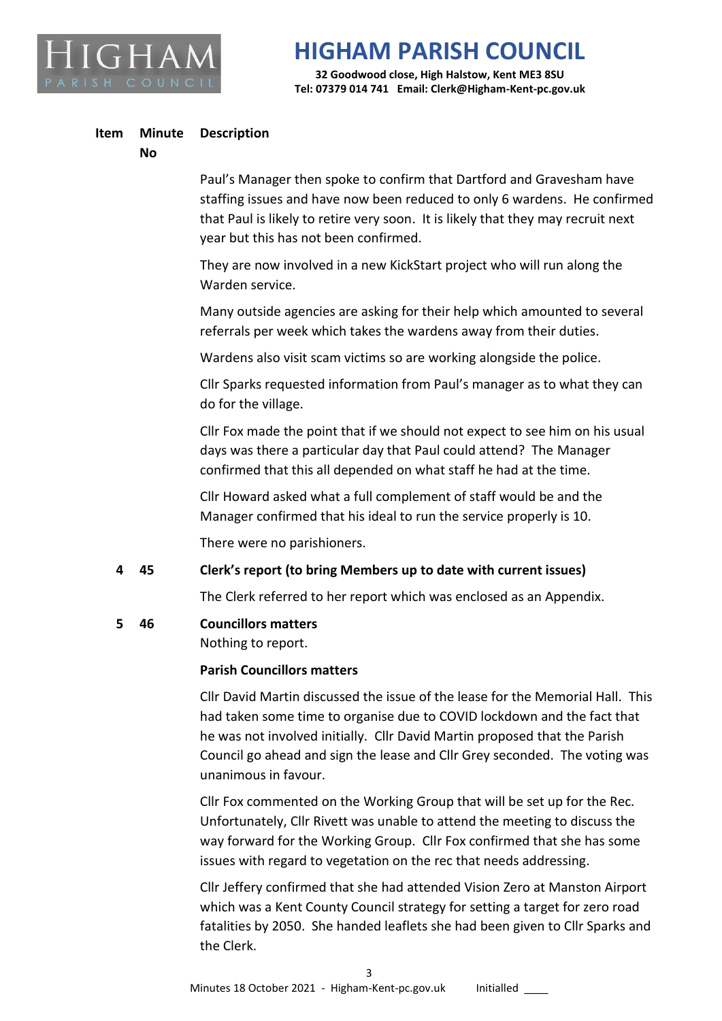

**32 Goodwood close, High Halstow, Kent ME3 8SU Tel: 07379 014 741 Email: Clerk@Higham-Kent-pc.gov.uk**

#### **Item Minute Description**

#### **No**

Paul's Manager then spoke to confirm that Dartford and Gravesham have staffing issues and have now been reduced to only 6 wardens. He confirmed that Paul is likely to retire very soon. It is likely that they may recruit next year but this has not been confirmed.

They are now involved in a new KickStart project who will run along the Warden service.

Many outside agencies are asking for their help which amounted to several referrals per week which takes the wardens away from their duties.

Wardens also visit scam victims so are working alongside the police.

Cllr Sparks requested information from Paul's manager as to what they can do for the village.

Cllr Fox made the point that if we should not expect to see him on his usual days was there a particular day that Paul could attend? The Manager confirmed that this all depended on what staff he had at the time.

Cllr Howard asked what a full complement of staff would be and the Manager confirmed that his ideal to run the service properly is 10.

There were no parishioners.

### **4 45 Clerk's report (to bring Members up to date with current issues)**

The Clerk referred to her report which was enclosed as an Appendix.

#### **5 46 Councillors matters**

Nothing to report.

### **Parish Councillors matters**

Cllr David Martin discussed the issue of the lease for the Memorial Hall. This had taken some time to organise due to COVID lockdown and the fact that he was not involved initially. Cllr David Martin proposed that the Parish Council go ahead and sign the lease and Cllr Grey seconded. The voting was unanimous in favour.

Cllr Fox commented on the Working Group that will be set up for the Rec. Unfortunately, Cllr Rivett was unable to attend the meeting to discuss the way forward for the Working Group. Cllr Fox confirmed that she has some issues with regard to vegetation on the rec that needs addressing.

Cllr Jeffery confirmed that she had attended Vision Zero at Manston Airport which was a Kent County Council strategy for setting a target for zero road fatalities by 2050. She handed leaflets she had been given to Cllr Sparks and the Clerk.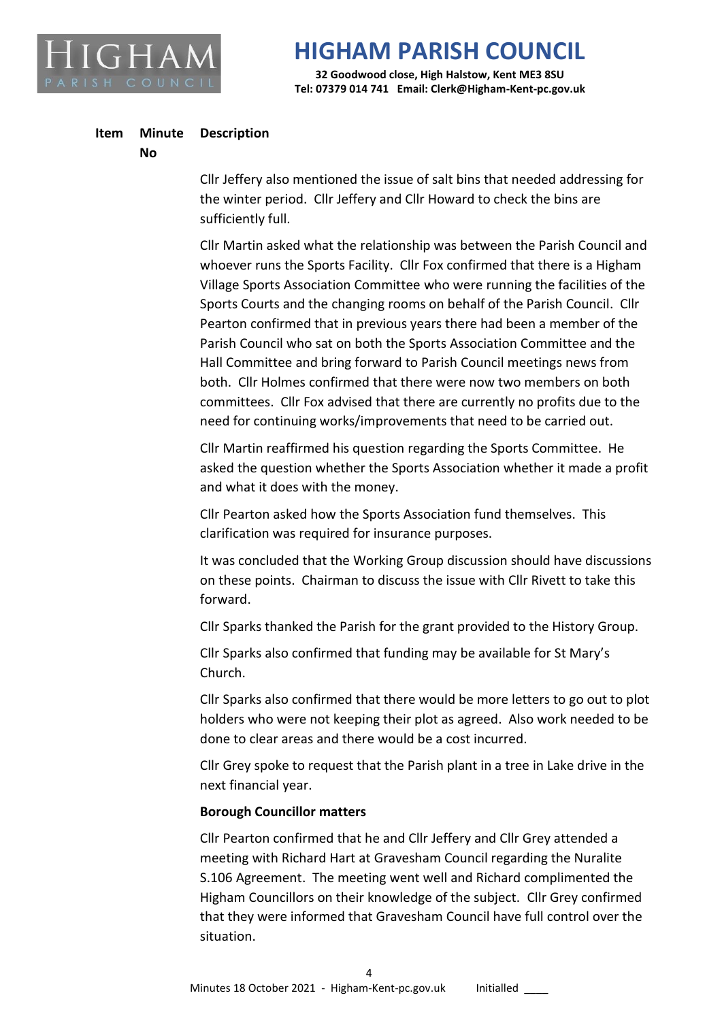

**32 Goodwood close, High Halstow, Kent ME3 8SU Tel: 07379 014 741 Email: Clerk@Higham-Kent-pc.gov.uk**

#### **Item Minute Description**

#### **No**

Cllr Jeffery also mentioned the issue of salt bins that needed addressing for the winter period. Cllr Jeffery and Cllr Howard to check the bins are sufficiently full.

Cllr Martin asked what the relationship was between the Parish Council and whoever runs the Sports Facility. Cllr Fox confirmed that there is a Higham Village Sports Association Committee who were running the facilities of the Sports Courts and the changing rooms on behalf of the Parish Council. Cllr Pearton confirmed that in previous years there had been a member of the Parish Council who sat on both the Sports Association Committee and the Hall Committee and bring forward to Parish Council meetings news from both. Cllr Holmes confirmed that there were now two members on both committees. Cllr Fox advised that there are currently no profits due to the need for continuing works/improvements that need to be carried out.

Cllr Martin reaffirmed his question regarding the Sports Committee. He asked the question whether the Sports Association whether it made a profit and what it does with the money.

Cllr Pearton asked how the Sports Association fund themselves. This clarification was required for insurance purposes.

It was concluded that the Working Group discussion should have discussions on these points. Chairman to discuss the issue with Cllr Rivett to take this forward.

Cllr Sparks thanked the Parish for the grant provided to the History Group.

Cllr Sparks also confirmed that funding may be available for St Mary's Church.

Cllr Sparks also confirmed that there would be more letters to go out to plot holders who were not keeping their plot as agreed. Also work needed to be done to clear areas and there would be a cost incurred.

Cllr Grey spoke to request that the Parish plant in a tree in Lake drive in the next financial year.

#### **Borough Councillor matters**

Cllr Pearton confirmed that he and Cllr Jeffery and Cllr Grey attended a meeting with Richard Hart at Gravesham Council regarding the Nuralite S.106 Agreement. The meeting went well and Richard complimented the Higham Councillors on their knowledge of the subject. Cllr Grey confirmed that they were informed that Gravesham Council have full control over the situation.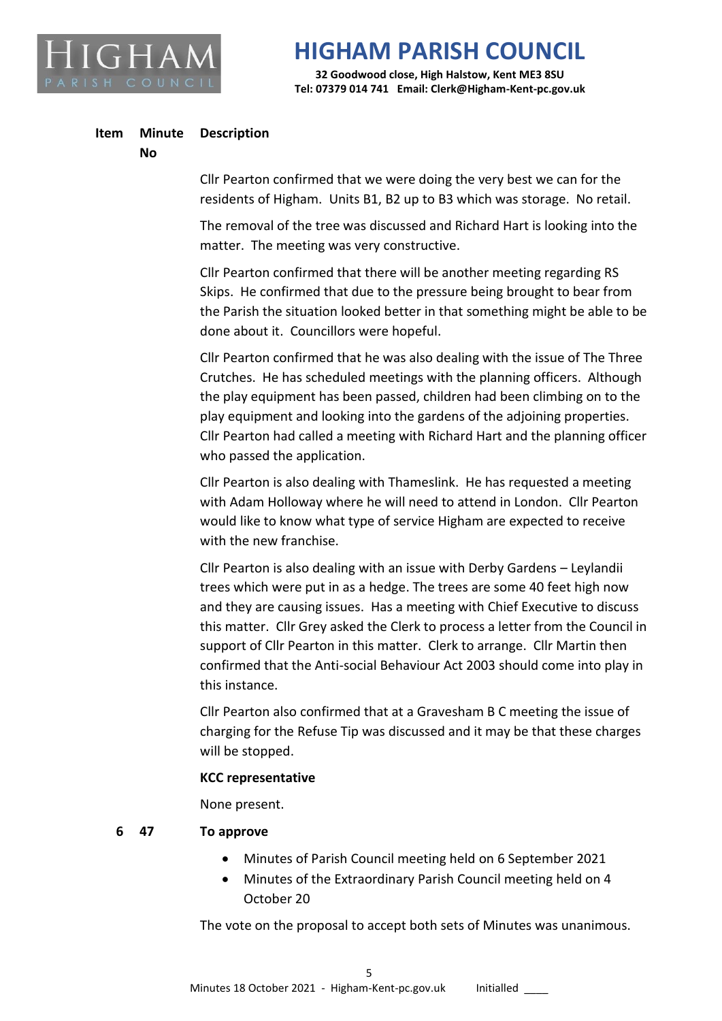

**32 Goodwood close, High Halstow, Kent ME3 8SU Tel: 07379 014 741 Email: Clerk@Higham-Kent-pc.gov.uk**

#### **Item Minute Description**

#### **No**

Cllr Pearton confirmed that we were doing the very best we can for the residents of Higham. Units B1, B2 up to B3 which was storage. No retail.

The removal of the tree was discussed and Richard Hart is looking into the matter. The meeting was very constructive.

Cllr Pearton confirmed that there will be another meeting regarding RS Skips. He confirmed that due to the pressure being brought to bear from the Parish the situation looked better in that something might be able to be done about it. Councillors were hopeful.

Cllr Pearton confirmed that he was also dealing with the issue of The Three Crutches. He has scheduled meetings with the planning officers. Although the play equipment has been passed, children had been climbing on to the play equipment and looking into the gardens of the adjoining properties. Cllr Pearton had called a meeting with Richard Hart and the planning officer who passed the application.

Cllr Pearton is also dealing with Thameslink. He has requested a meeting with Adam Holloway where he will need to attend in London. Cllr Pearton would like to know what type of service Higham are expected to receive with the new franchise.

Cllr Pearton is also dealing with an issue with Derby Gardens – Leylandii trees which were put in as a hedge. The trees are some 40 feet high now and they are causing issues. Has a meeting with Chief Executive to discuss this matter. Cllr Grey asked the Clerk to process a letter from the Council in support of Cllr Pearton in this matter. Clerk to arrange. Cllr Martin then confirmed that the Anti-social Behaviour Act 2003 should come into play in this instance.

Cllr Pearton also confirmed that at a Gravesham B C meeting the issue of charging for the Refuse Tip was discussed and it may be that these charges will be stopped.

#### **KCC representative**

None present.

#### **6 47 To approve**

- Minutes of Parish Council meeting held on 6 September 2021
- Minutes of the Extraordinary Parish Council meeting held on 4 October 20

The vote on the proposal to accept both sets of Minutes was unanimous.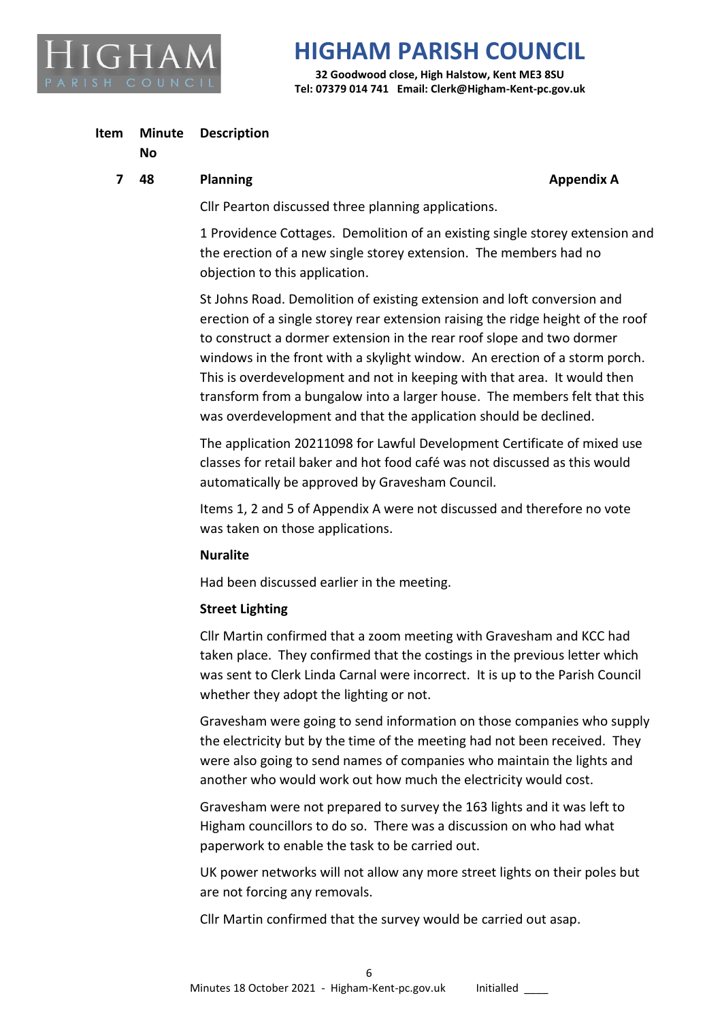

**32 Goodwood close, High Halstow, Kent ME3 8SU Tel: 07379 014 741 Email: Clerk@Higham-Kent-pc.gov.uk**

#### **Item Minute Description**

#### **No**

#### **7 48 Planning Appendix A Appendix A Appendix A**

Cllr Pearton discussed three planning applications.

1 Providence Cottages. Demolition of an existing single storey extension and the erection of a new single storey extension. The members had no objection to this application.

St Johns Road. Demolition of existing extension and loft conversion and erection of a single storey rear extension raising the ridge height of the roof to construct a dormer extension in the rear roof slope and two dormer windows in the front with a skylight window. An erection of a storm porch. This is overdevelopment and not in keeping with that area. It would then transform from a bungalow into a larger house. The members felt that this was overdevelopment and that the application should be declined.

The application 20211098 for Lawful Development Certificate of mixed use classes for retail baker and hot food café was not discussed as this would automatically be approved by Gravesham Council.

Items 1, 2 and 5 of Appendix A were not discussed and therefore no vote was taken on those applications.

#### **Nuralite**

Had been discussed earlier in the meeting.

### **Street Lighting**

Cllr Martin confirmed that a zoom meeting with Gravesham and KCC had taken place. They confirmed that the costings in the previous letter which was sent to Clerk Linda Carnal were incorrect. It is up to the Parish Council whether they adopt the lighting or not.

Gravesham were going to send information on those companies who supply the electricity but by the time of the meeting had not been received. They were also going to send names of companies who maintain the lights and another who would work out how much the electricity would cost.

Gravesham were not prepared to survey the 163 lights and it was left to Higham councillors to do so. There was a discussion on who had what paperwork to enable the task to be carried out.

UK power networks will not allow any more street lights on their poles but are not forcing any removals.

Cllr Martin confirmed that the survey would be carried out asap.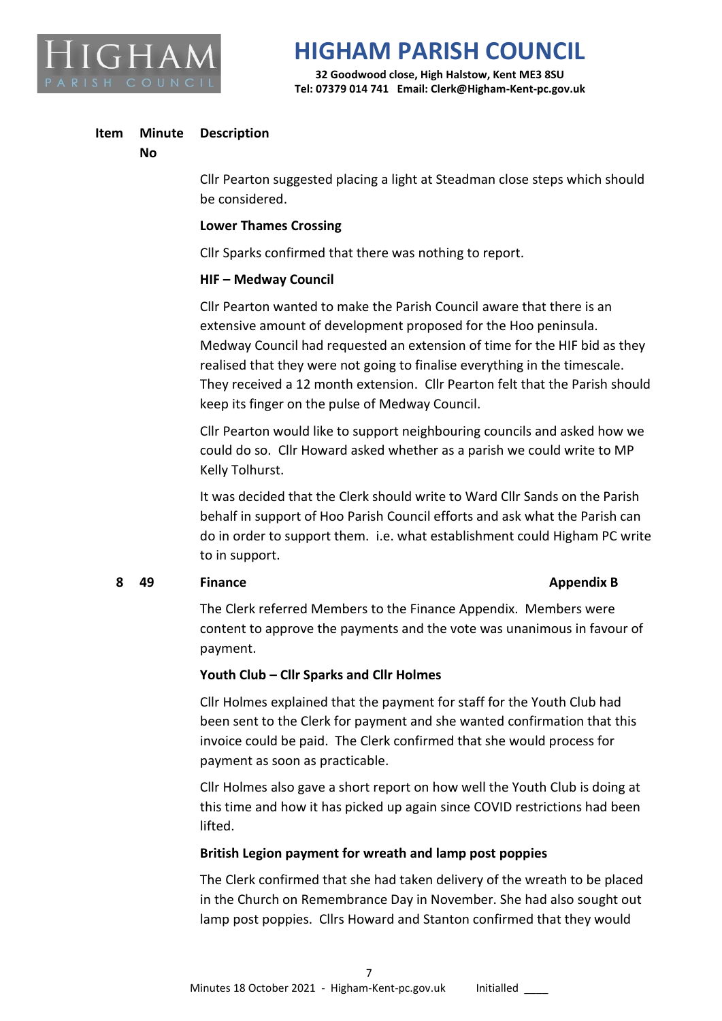

**32 Goodwood close, High Halstow, Kent ME3 8SU Tel: 07379 014 741 Email: Clerk@Higham-Kent-pc.gov.uk**

#### **Item Minute Description**

#### **No**

Cllr Pearton suggested placing a light at Steadman close steps which should be considered.

#### **Lower Thames Crossing**

Cllr Sparks confirmed that there was nothing to report.

#### **HIF – Medway Council**

Cllr Pearton wanted to make the Parish Council aware that there is an extensive amount of development proposed for the Hoo peninsula. Medway Council had requested an extension of time for the HIF bid as they realised that they were not going to finalise everything in the timescale. They received a 12 month extension. Cllr Pearton felt that the Parish should keep its finger on the pulse of Medway Council.

Cllr Pearton would like to support neighbouring councils and asked how we could do so. Cllr Howard asked whether as a parish we could write to MP Kelly Tolhurst.

It was decided that the Clerk should write to Ward Cllr Sands on the Parish behalf in support of Hoo Parish Council efforts and ask what the Parish can do in order to support them. i.e. what establishment could Higham PC write to in support.

### **8 49 Finance Appendix B**

The Clerk referred Members to the Finance Appendix. Members were content to approve the payments and the vote was unanimous in favour of payment.

### **Youth Club – Cllr Sparks and Cllr Holmes**

Cllr Holmes explained that the payment for staff for the Youth Club had been sent to the Clerk for payment and she wanted confirmation that this invoice could be paid. The Clerk confirmed that she would process for payment as soon as practicable.

Cllr Holmes also gave a short report on how well the Youth Club is doing at this time and how it has picked up again since COVID restrictions had been lifted.

### **British Legion payment for wreath and lamp post poppies**

The Clerk confirmed that she had taken delivery of the wreath to be placed in the Church on Remembrance Day in November. She had also sought out lamp post poppies. Cllrs Howard and Stanton confirmed that they would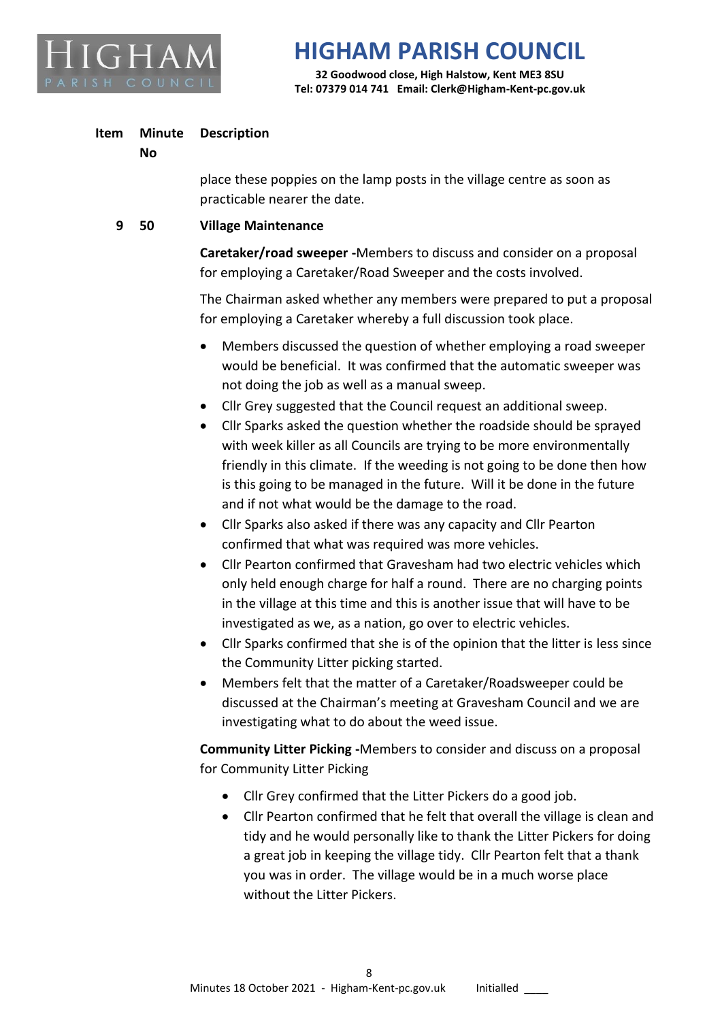

**32 Goodwood close, High Halstow, Kent ME3 8SU Tel: 07379 014 741 Email: Clerk@Higham-Kent-pc.gov.uk**

#### **Item Minute Description**

#### **No**

place these poppies on the lamp posts in the village centre as soon as practicable nearer the date.

## **9 50 Village Maintenance**

**Caretaker/road sweeper -**Members to discuss and consider on a proposal for employing a Caretaker/Road Sweeper and the costs involved.

The Chairman asked whether any members were prepared to put a proposal for employing a Caretaker whereby a full discussion took place.

- Members discussed the question of whether employing a road sweeper would be beneficial. It was confirmed that the automatic sweeper was not doing the job as well as a manual sweep.
- Cllr Grey suggested that the Council request an additional sweep.
- Cllr Sparks asked the question whether the roadside should be sprayed with week killer as all Councils are trying to be more environmentally friendly in this climate. If the weeding is not going to be done then how is this going to be managed in the future. Will it be done in the future and if not what would be the damage to the road.
- Cllr Sparks also asked if there was any capacity and Cllr Pearton confirmed that what was required was more vehicles.
- Cllr Pearton confirmed that Gravesham had two electric vehicles which only held enough charge for half a round. There are no charging points in the village at this time and this is another issue that will have to be investigated as we, as a nation, go over to electric vehicles.
- Cllr Sparks confirmed that she is of the opinion that the litter is less since the Community Litter picking started.
- Members felt that the matter of a Caretaker/Roadsweeper could be discussed at the Chairman's meeting at Gravesham Council and we are investigating what to do about the weed issue.

**Community Litter Picking -**Members to consider and discuss on a proposal for Community Litter Picking

- Cllr Grey confirmed that the Litter Pickers do a good job.
- Cllr Pearton confirmed that he felt that overall the village is clean and tidy and he would personally like to thank the Litter Pickers for doing a great job in keeping the village tidy. Cllr Pearton felt that a thank you was in order. The village would be in a much worse place without the Litter Pickers.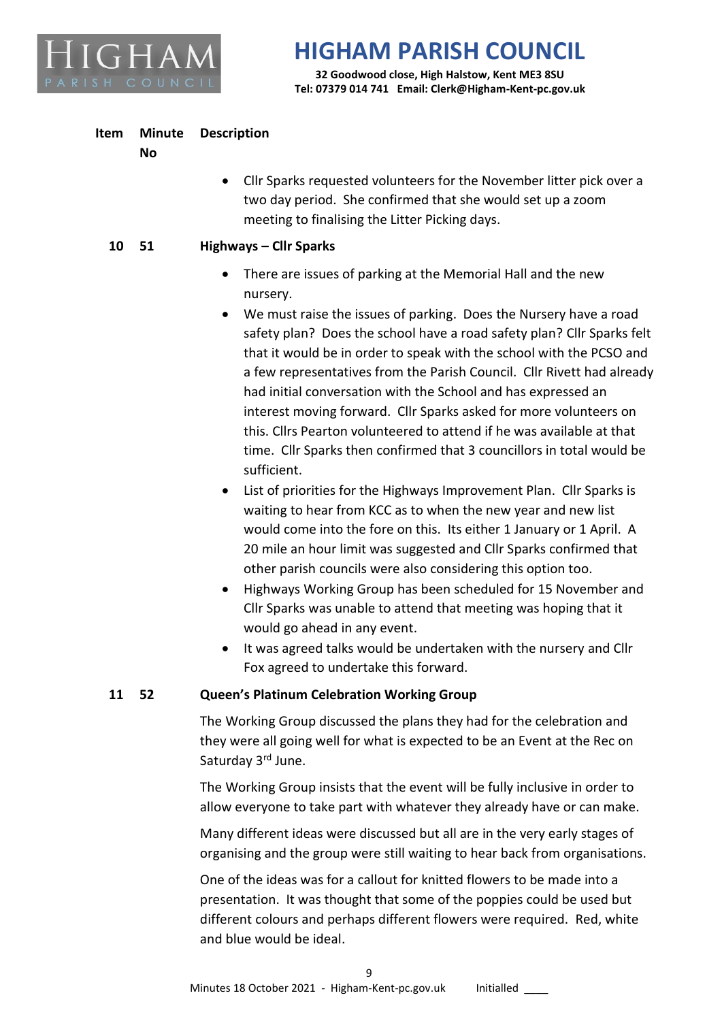

**32 Goodwood close, High Halstow, Kent ME3 8SU Tel: 07379 014 741 Email: Clerk@Higham-Kent-pc.gov.uk**

#### **Item Minute Description**

**No**

• Cllr Sparks requested volunteers for the November litter pick over a two day period. She confirmed that she would set up a zoom meeting to finalising the Litter Picking days.

## **10 51 Highways – Cllr Sparks**

- There are issues of parking at the Memorial Hall and the new nursery.
- We must raise the issues of parking. Does the Nursery have a road safety plan? Does the school have a road safety plan? Cllr Sparks felt that it would be in order to speak with the school with the PCSO and a few representatives from the Parish Council. Cllr Rivett had already had initial conversation with the School and has expressed an interest moving forward. Cllr Sparks asked for more volunteers on this. Cllrs Pearton volunteered to attend if he was available at that time. Cllr Sparks then confirmed that 3 councillors in total would be sufficient.
- List of priorities for the Highways Improvement Plan. Cllr Sparks is waiting to hear from KCC as to when the new year and new list would come into the fore on this. Its either 1 January or 1 April. A 20 mile an hour limit was suggested and Cllr Sparks confirmed that other parish councils were also considering this option too.
- Highways Working Group has been scheduled for 15 November and Cllr Sparks was unable to attend that meeting was hoping that it would go ahead in any event.
- It was agreed talks would be undertaken with the nursery and Cllr Fox agreed to undertake this forward.

## **11 52 Queen's Platinum Celebration Working Group**

The Working Group discussed the plans they had for the celebration and they were all going well for what is expected to be an Event at the Rec on Saturday 3rd June.

The Working Group insists that the event will be fully inclusive in order to allow everyone to take part with whatever they already have or can make.

Many different ideas were discussed but all are in the very early stages of organising and the group were still waiting to hear back from organisations.

One of the ideas was for a callout for knitted flowers to be made into a presentation. It was thought that some of the poppies could be used but different colours and perhaps different flowers were required. Red, white and blue would be ideal.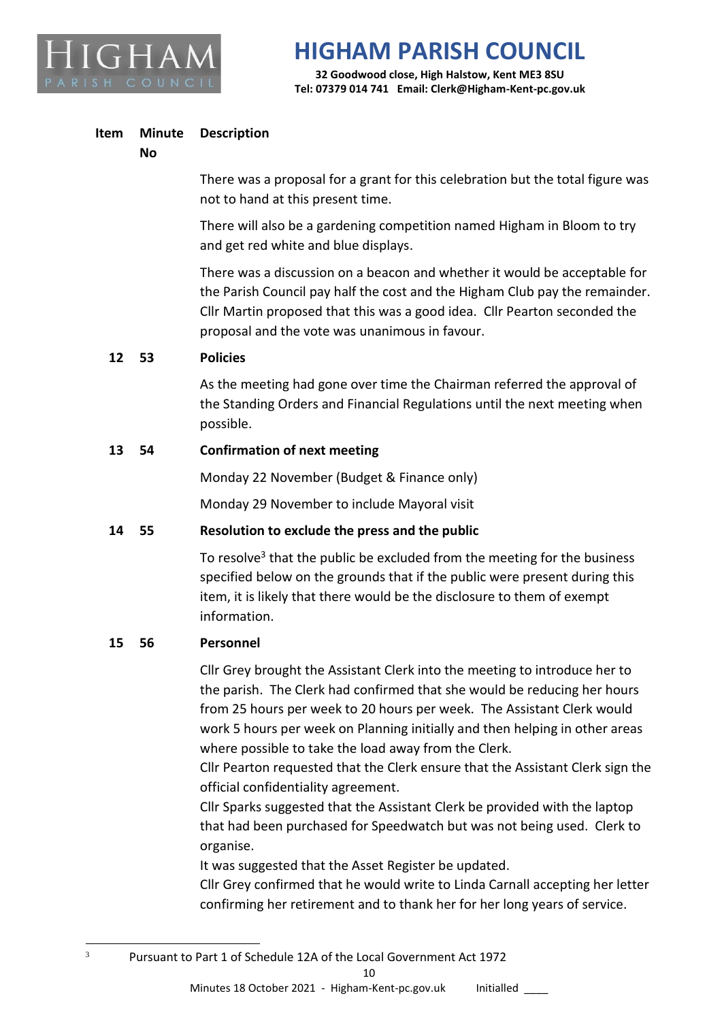

**32 Goodwood close, High Halstow, Kent ME3 8SU Tel: 07379 014 741 Email: Clerk@Higham-Kent-pc.gov.uk**

#### **Item Minute Description**

#### **No**

There was a proposal for a grant for this celebration but the total figure was not to hand at this present time.

There will also be a gardening competition named Higham in Bloom to try and get red white and blue displays.

There was a discussion on a beacon and whether it would be acceptable for the Parish Council pay half the cost and the Higham Club pay the remainder. Cllr Martin proposed that this was a good idea. Cllr Pearton seconded the proposal and the vote was unanimous in favour.

#### **12 53 Policies**

As the meeting had gone over time the Chairman referred the approval of the Standing Orders and Financial Regulations until the next meeting when possible.

### **13 54 Confirmation of next meeting**

Monday 22 November (Budget & Finance only)

Monday 29 November to include Mayoral visit

### **14 55 Resolution to exclude the press and the public**

To resolve<sup>3</sup> that the public be excluded from the meeting for the business specified below on the grounds that if the public were present during this item, it is likely that there would be the disclosure to them of exempt information.

### **15 56 Personnel**

Cllr Grey brought the Assistant Clerk into the meeting to introduce her to the parish. The Clerk had confirmed that she would be reducing her hours from 25 hours per week to 20 hours per week. The Assistant Clerk would work 5 hours per week on Planning initially and then helping in other areas where possible to take the load away from the Clerk.

Cllr Pearton requested that the Clerk ensure that the Assistant Clerk sign the official confidentiality agreement.

Cllr Sparks suggested that the Assistant Clerk be provided with the laptop that had been purchased for Speedwatch but was not being used. Clerk to organise.

It was suggested that the Asset Register be updated.

Cllr Grey confirmed that he would write to Linda Carnall accepting her letter confirming her retirement and to thank her for her long years of service.

<sup>3</sup> Pursuant to Part 1 of Schedule 12A of the Local Government Act 1972

10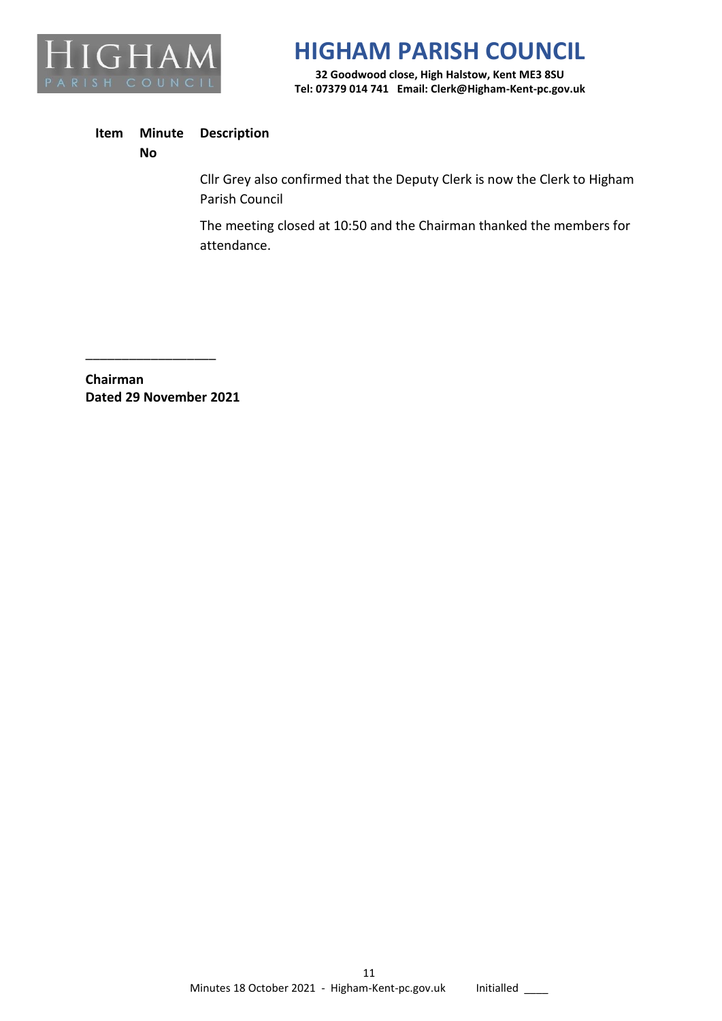

**32 Goodwood close, High Halstow, Kent ME3 8SU Tel: 07379 014 741 Email: Clerk@Higham-Kent-pc.gov.uk**

#### **Item Minute Description**

**No**

Cllr Grey also confirmed that the Deputy Clerk is now the Clerk to Higham Parish Council

The meeting closed at 10:50 and the Chairman thanked the members for attendance.

**Chairman Dated 29 November 2021**

\_\_\_\_\_\_\_\_\_\_\_\_\_\_\_\_\_\_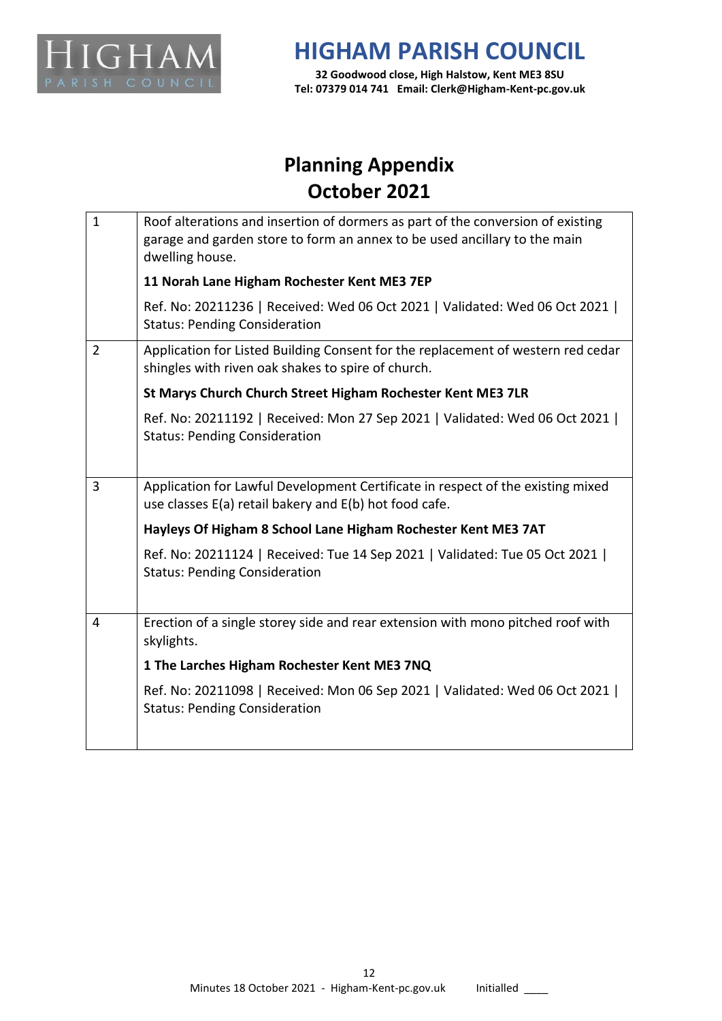

**32 Goodwood close, High Halstow, Kent ME3 8SU Tel: 07379 014 741 Email: Clerk@Higham-Kent-pc.gov.uk**

## **Planning Appendix October 2021**

| $\mathbf 1$                                                 | Roof alterations and insertion of dormers as part of the conversion of existing<br>garage and garden store to form an annex to be used ancillary to the main<br>dwelling house. |  |  |  |
|-------------------------------------------------------------|---------------------------------------------------------------------------------------------------------------------------------------------------------------------------------|--|--|--|
|                                                             | 11 Norah Lane Higham Rochester Kent ME3 7EP                                                                                                                                     |  |  |  |
|                                                             | Ref. No: 20211236   Received: Wed 06 Oct 2021   Validated: Wed 06 Oct 2021  <br><b>Status: Pending Consideration</b>                                                            |  |  |  |
| $\overline{2}$                                              | Application for Listed Building Consent for the replacement of western red cedar<br>shingles with riven oak shakes to spire of church.                                          |  |  |  |
| St Marys Church Church Street Higham Rochester Kent ME3 7LR |                                                                                                                                                                                 |  |  |  |
|                                                             | Ref. No: 20211192   Received: Mon 27 Sep 2021   Validated: Wed 06 Oct 2021  <br><b>Status: Pending Consideration</b>                                                            |  |  |  |
|                                                             |                                                                                                                                                                                 |  |  |  |
| 3                                                           | Application for Lawful Development Certificate in respect of the existing mixed<br>use classes E(a) retail bakery and E(b) hot food cafe.                                       |  |  |  |
|                                                             | Hayleys Of Higham 8 School Lane Higham Rochester Kent ME3 7AT                                                                                                                   |  |  |  |
|                                                             | Ref. No: 20211124   Received: Tue 14 Sep 2021   Validated: Tue 05 Oct 2021  <br><b>Status: Pending Consideration</b>                                                            |  |  |  |
| 4                                                           | Erection of a single storey side and rear extension with mono pitched roof with<br>skylights.                                                                                   |  |  |  |
|                                                             | 1 The Larches Higham Rochester Kent ME3 7NQ                                                                                                                                     |  |  |  |
|                                                             | Ref. No: 20211098   Received: Mon 06 Sep 2021   Validated: Wed 06 Oct 2021  <br><b>Status: Pending Consideration</b>                                                            |  |  |  |
|                                                             |                                                                                                                                                                                 |  |  |  |